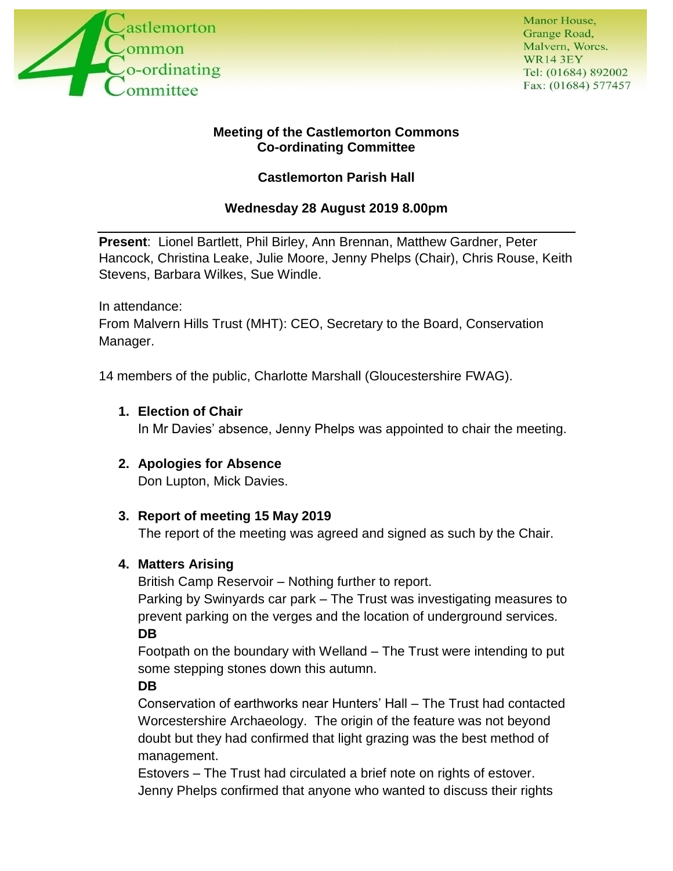

#### **Meeting of the Castlemorton Commons Co-ordinating Committee**

# **Castlemorton Parish Hall**

# **Wednesday 28 August 2019 8.00pm**

**Present**: Lionel Bartlett, Phil Birley, Ann Brennan, Matthew Gardner, Peter Hancock, Christina Leake, Julie Moore, Jenny Phelps (Chair), Chris Rouse, Keith Stevens, Barbara Wilkes, Sue Windle.

In attendance:

From Malvern Hills Trust (MHT): CEO, Secretary to the Board, Conservation Manager.

14 members of the public, Charlotte Marshall (Gloucestershire FWAG).

**1. Election of Chair**

In Mr Davies' absence, Jenny Phelps was appointed to chair the meeting.

## **2. Apologies for Absence**

Don Lupton, Mick Davies.

## **3. Report of meeting 15 May 2019**

The report of the meeting was agreed and signed as such by the Chair.

#### **4. Matters Arising**

British Camp Reservoir – Nothing further to report.

Parking by Swinyards car park – The Trust was investigating measures to prevent parking on the verges and the location of underground services. **DB**

Footpath on the boundary with Welland – The Trust were intending to put some stepping stones down this autumn.

## **DB**

Conservation of earthworks near Hunters' Hall – The Trust had contacted Worcestershire Archaeology. The origin of the feature was not beyond doubt but they had confirmed that light grazing was the best method of management.

Estovers – The Trust had circulated a brief note on rights of estover. Jenny Phelps confirmed that anyone who wanted to discuss their rights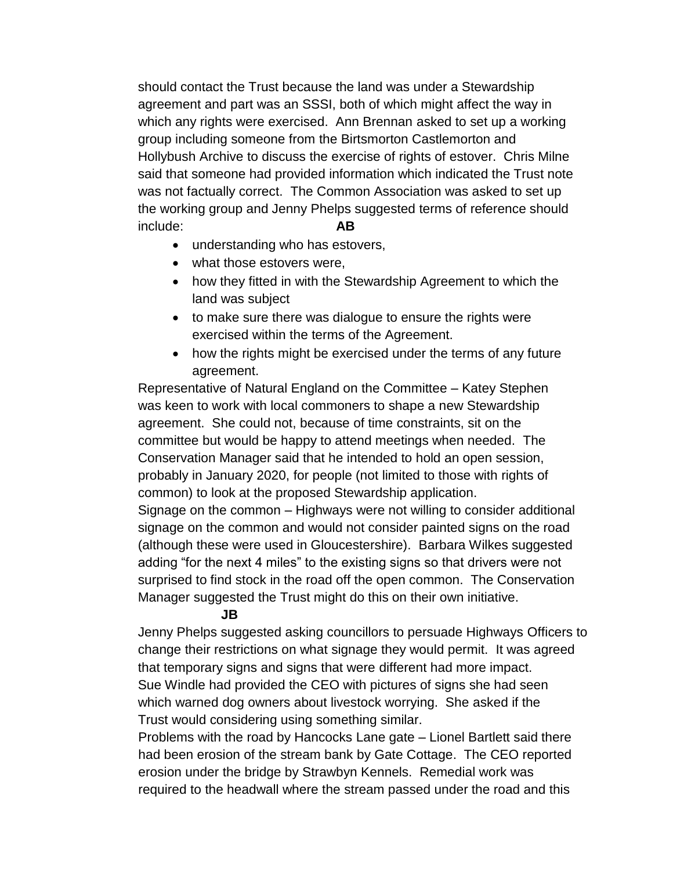should contact the Trust because the land was under a Stewardship agreement and part was an SSSI, both of which might affect the way in which any rights were exercised. Ann Brennan asked to set up a working group including someone from the Birtsmorton Castlemorton and Hollybush Archive to discuss the exercise of rights of estover. Chris Milne said that someone had provided information which indicated the Trust note was not factually correct. The Common Association was asked to set up the working group and Jenny Phelps suggested terms of reference should include: **AB**

- understanding who has estovers,
- what those estovers were,
- how they fitted in with the Stewardship Agreement to which the land was subject
- to make sure there was dialogue to ensure the rights were exercised within the terms of the Agreement.
- how the rights might be exercised under the terms of any future agreement.

Representative of Natural England on the Committee – Katey Stephen was keen to work with local commoners to shape a new Stewardship agreement. She could not, because of time constraints, sit on the committee but would be happy to attend meetings when needed. The Conservation Manager said that he intended to hold an open session, probably in January 2020, for people (not limited to those with rights of common) to look at the proposed Stewardship application.

Signage on the common – Highways were not willing to consider additional signage on the common and would not consider painted signs on the road (although these were used in Gloucestershire). Barbara Wilkes suggested adding "for the next 4 miles" to the existing signs so that drivers were not surprised to find stock in the road off the open common. The Conservation Manager suggested the Trust might do this on their own initiative.

#### **JB**

Jenny Phelps suggested asking councillors to persuade Highways Officers to change their restrictions on what signage they would permit. It was agreed that temporary signs and signs that were different had more impact. Sue Windle had provided the CEO with pictures of signs she had seen which warned dog owners about livestock worrying. She asked if the Trust would considering using something similar.

Problems with the road by Hancocks Lane gate – Lionel Bartlett said there had been erosion of the stream bank by Gate Cottage. The CEO reported erosion under the bridge by Strawbyn Kennels. Remedial work was required to the headwall where the stream passed under the road and this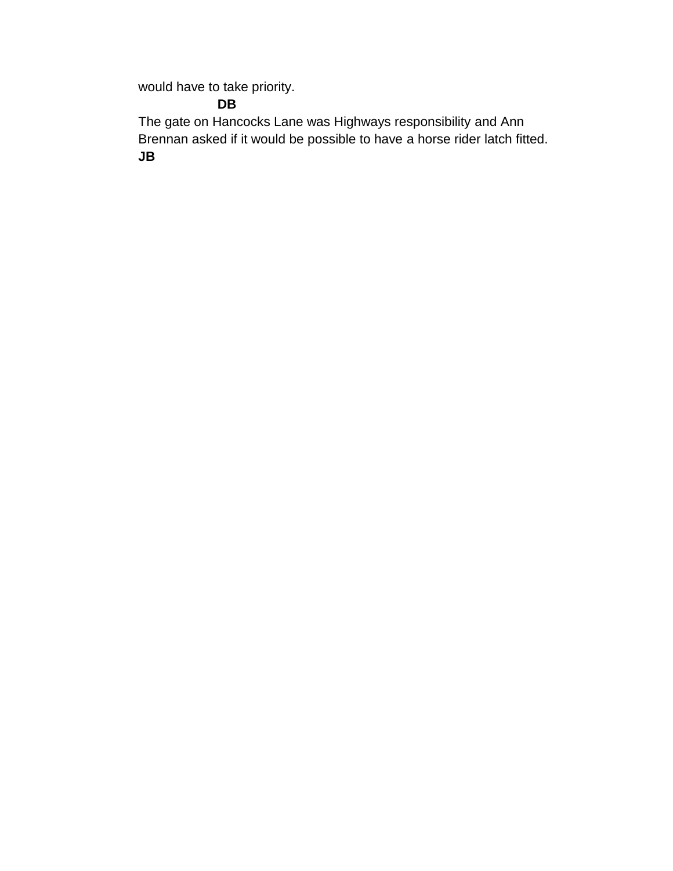would have to take priority.

# **DB**

The gate on Hancocks Lane was Highways responsibility and Ann Brennan asked if it would be possible to have a horse rider latch fitted. **JB**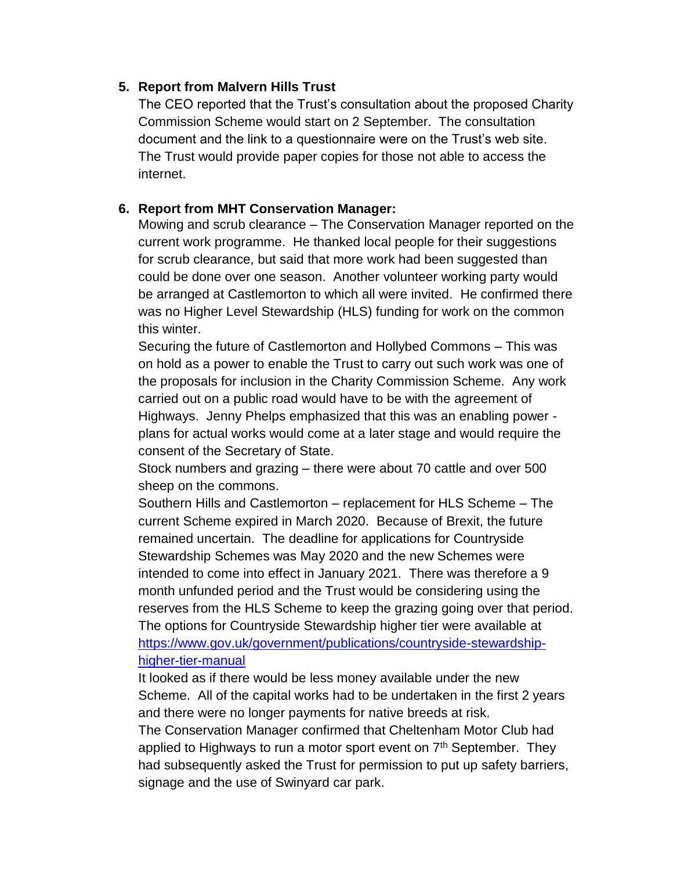#### **5. Report from Malvern Hills Trust**

The CEO reported that the Trust's consultation about the proposed Charity Commission Scheme would start on 2 September. The consultation document and the link to a questionnaire were on the Trust's web site. The Trust would provide paper copies for those not able to access the internet.

## **6. Report from MHT Conservation Manager:**

Mowing and scrub clearance – The Conservation Manager reported on the current work programme. He thanked local people for their suggestions for scrub clearance, but said that more work had been suggested than could be done over one season. Another volunteer working party would be arranged at Castlemorton to which all were invited. He confirmed there was no Higher Level Stewardship (HLS) funding for work on the common this winter.

Securing the future of Castlemorton and Hollybed Commons – This was on hold as a power to enable the Trust to carry out such work was one of the proposals for inclusion in the Charity Commission Scheme. Any work carried out on a public road would have to be with the agreement of Highways. Jenny Phelps emphasized that this was an enabling power plans for actual works would come at a later stage and would require the consent of the Secretary of State.

Stock numbers and grazing – there were about 70 cattle and over 500 sheep on the commons.

Southern Hills and Castlemorton – replacement for HLS Scheme – The current Scheme expired in March 2020. Because of Brexit, the future remained uncertain. The deadline for applications for Countryside Stewardship Schemes was May 2020 and the new Schemes were intended to come into effect in January 2021. There was therefore a 9 month unfunded period and the Trust would be considering using the reserves from the HLS Scheme to keep the grazing going over that period. The options for Countryside Stewardship higher tier were available at [https://www.gov.uk/government/publications/countryside-stewardship](https://www.gov.uk/government/publications/countryside-stewardship-higher-tier-manual)[higher-tier-manual](https://www.gov.uk/government/publications/countryside-stewardship-higher-tier-manual)

It looked as if there would be less money available under the new Scheme. All of the capital works had to be undertaken in the first 2 years and there were no longer payments for native breeds at risk. The Conservation Manager confirmed that Cheltenham Motor Club had applied to Highways to run a motor sport event on  $7<sup>th</sup>$  September. They had subsequently asked the Trust for permission to put up safety barriers, signage and the use of Swinyard car park.